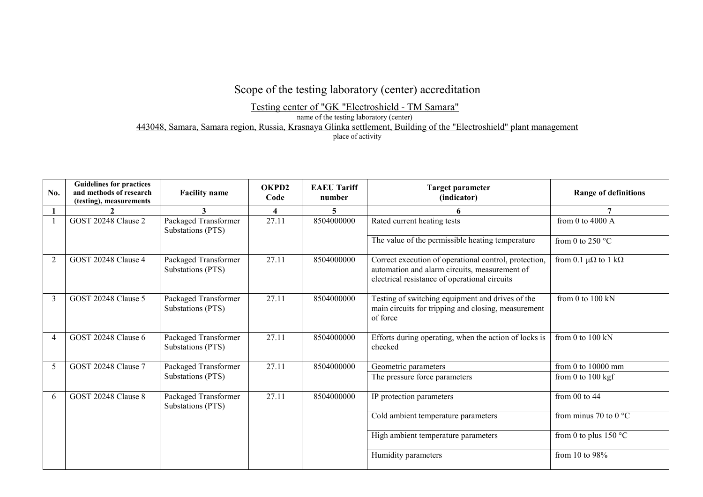## Scope of the testing laboratory (center) accreditation

Testing center of "GK "Electroshield - TM Samara"

name of the testing laboratory (center)

443048, Samara, Samara region, Russia, Krasnaya Glinka settlement, Building of the "Electroshield" plant management

place of activity

| No.            | <b>Guidelines for practices</b><br>and methods of research<br>(testing), measurements | <b>Facility name</b>                      | OKPD2<br>Code           | <b>EAEU Tariff</b><br>number | <b>Target parameter</b><br>(indicator)                                                                                                                  | <b>Range of definitions</b>          |
|----------------|---------------------------------------------------------------------------------------|-------------------------------------------|-------------------------|------------------------------|---------------------------------------------------------------------------------------------------------------------------------------------------------|--------------------------------------|
|                |                                                                                       | 3                                         | $\overline{\mathbf{4}}$ | 5.                           | 6                                                                                                                                                       |                                      |
|                | GOST 20248 Clause 2                                                                   | Packaged Transformer<br>Substations (PTS) | 27.11                   | 8504000000                   | Rated current heating tests                                                                                                                             | from 0 to 4000 $\AA$                 |
|                |                                                                                       |                                           |                         |                              | The value of the permissible heating temperature                                                                                                        | from 0 to 250 $^{\circ}$ C           |
| 2              | <b>GOST 20248 Clause 4</b>                                                            | Packaged Transformer<br>Substations (PTS) | 27.11                   | 8504000000                   | Correct execution of operational control, protection,<br>automation and alarm circuits, measurement of<br>electrical resistance of operational circuits | from 0.1 $\mu\Omega$ to 1 k $\Omega$ |
| 3              | GOST 20248 Clause 5                                                                   | Packaged Transformer<br>Substations (PTS) | 27.11                   | 8504000000                   | Testing of switching equipment and drives of the<br>main circuits for tripping and closing, measurement<br>of force                                     | from 0 to 100 kN                     |
| $\overline{4}$ | <b>GOST 20248 Clause 6</b>                                                            | Packaged Transformer<br>Substations (PTS) | 27.11                   | 8504000000                   | Efforts during operating, when the action of locks is<br>checked                                                                                        | from 0 to 100 kN                     |
| 5              | <b>GOST 20248 Clause 7</b>                                                            | Packaged Transformer                      | 27.11                   | 8504000000                   | Geometric parameters                                                                                                                                    | from 0 to 10000 mm                   |
|                |                                                                                       | Substations (PTS)                         |                         |                              | The pressure force parameters                                                                                                                           | from 0 to $100 \text{ kgf}$          |
| 6              | GOST 20248 Clause 8                                                                   | Packaged Transformer<br>Substations (PTS) | 27.11                   | 8504000000                   | IP protection parameters                                                                                                                                | from $00$ to $44$                    |
|                |                                                                                       |                                           |                         |                              | Cold ambient temperature parameters                                                                                                                     | from minus 70 to 0 $^{\circ}$ C      |
|                |                                                                                       |                                           |                         |                              | High ambient temperature parameters                                                                                                                     | from 0 to plus 150 $\degree$ C       |
|                |                                                                                       |                                           |                         |                              | Humidity parameters                                                                                                                                     | from 10 to $98\%$                    |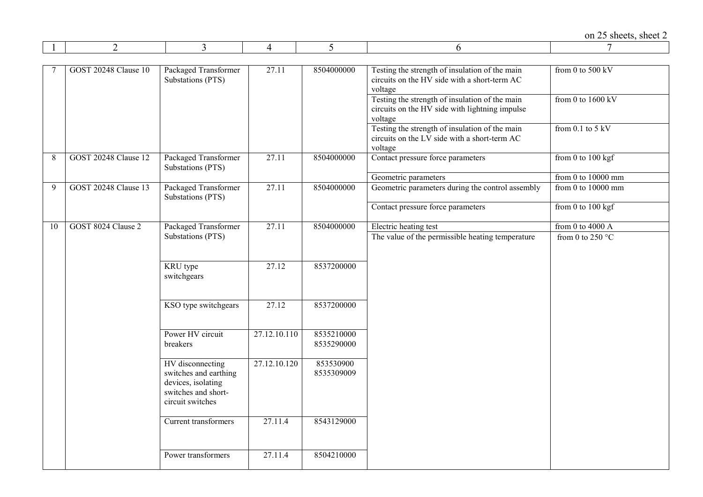|    |                             |                                                                                                            |                    |                          |                                                                                                             | on 25 sheets, sheet 2      |
|----|-----------------------------|------------------------------------------------------------------------------------------------------------|--------------------|--------------------------|-------------------------------------------------------------------------------------------------------------|----------------------------|
|    | $\overline{2}$              | $\overline{3}$                                                                                             | 4                  | 5                        | 6                                                                                                           | 7                          |
|    | <b>GOST 20248 Clause 10</b> | Packaged Transformer<br>Substations (PTS)                                                                  | 27.11              | 8504000000               | Testing the strength of insulation of the main<br>circuits on the HV side with a short-term AC<br>voltage   | from 0 to 500 kV           |
|    |                             |                                                                                                            |                    |                          | Testing the strength of insulation of the main<br>circuits on the HV side with lightning impulse<br>voltage | from 0 to $1600$ kV        |
|    |                             |                                                                                                            |                    |                          | Testing the strength of insulation of the main<br>circuits on the LV side with a short-term AC<br>voltage   | from $0.1$ to $5$ kV       |
| 8  | <b>GOST 20248 Clause 12</b> | Packaged Transformer<br>Substations (PTS)                                                                  | 27.11              | 8504000000               | Contact pressure force parameters                                                                           | from 0 to $100$ kgf        |
|    |                             |                                                                                                            |                    |                          | Geometric parameters                                                                                        | from 0 to 10000 mm         |
| 9  | <b>GOST 20248 Clause 13</b> | Packaged Transformer<br>Substations (PTS)                                                                  | 27.11              | 8504000000               | Geometric parameters during the control assembly                                                            | from $0$ to $10000$ mm     |
|    |                             |                                                                                                            |                    |                          | Contact pressure force parameters                                                                           | from $0$ to $100$ kgf      |
| 10 | GOST 8024 Clause 2          | Packaged Transformer                                                                                       | 27.11              | 8504000000               | Electric heating test                                                                                       | from 0 to 4000 $A$         |
|    |                             | Substations (PTS)                                                                                          |                    |                          | The value of the permissible heating temperature                                                            | from 0 to 250 $^{\circ}$ C |
|    |                             | KRU type<br>switchgears                                                                                    | 27.12              | 8537200000               |                                                                                                             |                            |
|    |                             | KSO type switchgears                                                                                       | $\overline{27.12}$ | 8537200000               |                                                                                                             |                            |
|    |                             | Power HV circuit<br>breakers                                                                               | 27.12.10.110       | 8535210000<br>8535290000 |                                                                                                             |                            |
|    |                             | HV disconnecting<br>switches and earthing<br>devices, isolating<br>switches and short-<br>circuit switches | 27.12.10.120       | 853530900<br>8535309009  |                                                                                                             |                            |
|    |                             | Current transformers                                                                                       | 27.11.4            | 8543129000               |                                                                                                             |                            |
|    |                             | Power transformers                                                                                         | 27.11.4            | 8504210000               |                                                                                                             |                            |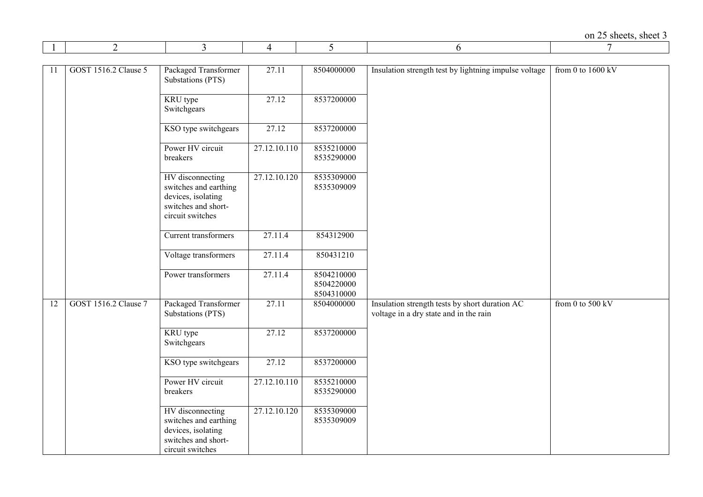|    | 2                    | 3                                                                                                          | 4                         | 5                                      | 6                                                                                        | 7                           |
|----|----------------------|------------------------------------------------------------------------------------------------------------|---------------------------|----------------------------------------|------------------------------------------------------------------------------------------|-----------------------------|
|    |                      |                                                                                                            |                           |                                        |                                                                                          |                             |
| 11 | GOST 1516.2 Clause 5 | Packaged Transformer<br>Substations (PTS)                                                                  | 27.11                     | 8504000000                             | Insulation strength test by lightning impulse voltage                                    | from 0 to $1600 \text{ kV}$ |
|    |                      | KRU type<br>Switchgears                                                                                    | 27.12                     | 8537200000                             |                                                                                          |                             |
|    |                      | KSO type switchgears                                                                                       | 27.12                     | 8537200000                             |                                                                                          |                             |
|    |                      | Power HV circuit<br>breakers                                                                               | 27.12.10.110              | 8535210000<br>8535290000               |                                                                                          |                             |
|    |                      | HV disconnecting<br>switches and earthing<br>devices, isolating<br>switches and short-<br>circuit switches | 27.12.10.120              | 8535309000<br>8535309009               |                                                                                          |                             |
|    |                      | Current transformers                                                                                       | 27.11.4                   | 854312900                              |                                                                                          |                             |
|    |                      | Voltage transformers                                                                                       | 27.11.4                   | 850431210                              |                                                                                          |                             |
|    |                      | Power transformers                                                                                         | 27.11.4                   | 8504210000<br>8504220000<br>8504310000 |                                                                                          |                             |
| 12 | GOST 1516.2 Clause 7 | Packaged Transformer<br>Substations (PTS)                                                                  | 27.11                     | 8504000000                             | Insulation strength tests by short duration AC<br>voltage in a dry state and in the rain | from 0 to 500 kV            |
|    |                      | KRU type<br>Switchgears                                                                                    | 27.12                     | 8537200000                             |                                                                                          |                             |
|    |                      | KSO type switchgears                                                                                       | 27.12                     | 8537200000                             |                                                                                          |                             |
|    |                      | Power HV circuit<br>breakers                                                                               | 27.12.10.110              | 8535210000<br>8535290000               |                                                                                          |                             |
|    |                      | HV disconnecting<br>switches and earthing<br>devices, isolating<br>switches and short-<br>circuit switches | $\overline{27.12.10.120}$ | 8535309000<br>8535309009               |                                                                                          |                             |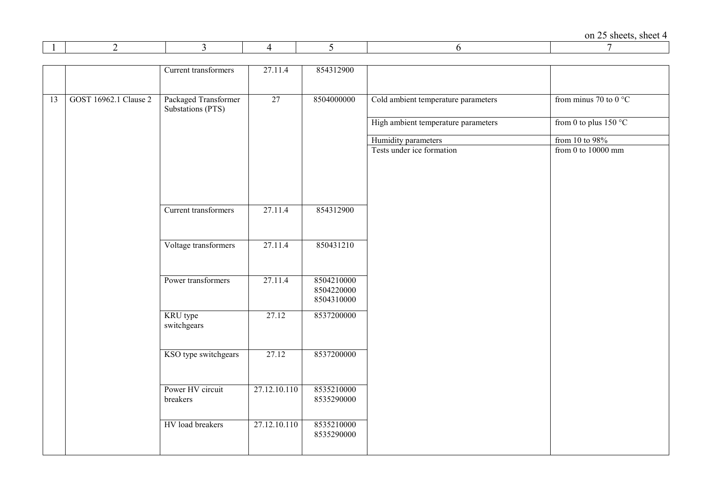|    |                       | Current transformers                      | 27.11.4      | 854312900                              |                                     |                                |
|----|-----------------------|-------------------------------------------|--------------|----------------------------------------|-------------------------------------|--------------------------------|
| 13 | GOST 16962.1 Clause 2 | Packaged Transformer<br>Substations (PTS) | 27           | 8504000000                             | Cold ambient temperature parameters | from minus 70 to $0^{\circ}$ C |
|    |                       |                                           |              |                                        | High ambient temperature parameters | from 0 to plus $150 °C$        |
|    |                       |                                           |              |                                        | Humidity parameters                 | from 10 to 98%                 |
|    |                       |                                           |              |                                        | Tests under ice formation           | from 0 to $10000$ mm           |
|    |                       | Current transformers                      | 27.11.4      | 854312900                              |                                     |                                |
|    |                       | Voltage transformers                      | 27.11.4      | 850431210                              |                                     |                                |
|    |                       | Power transformers                        | 27.11.4      | 8504210000<br>8504220000<br>8504310000 |                                     |                                |
|    |                       | KRU type<br>switchgears                   | 27.12        | 8537200000                             |                                     |                                |
|    |                       | KSO type switchgears                      | 27.12        | 8537200000                             |                                     |                                |
|    |                       | Power HV circuit<br>breakers              | 27.12.10.110 | 8535210000<br>8535290000               |                                     |                                |
|    |                       | HV load breakers                          | 27.12.10.110 | 8535210000<br>8535290000               |                                     |                                |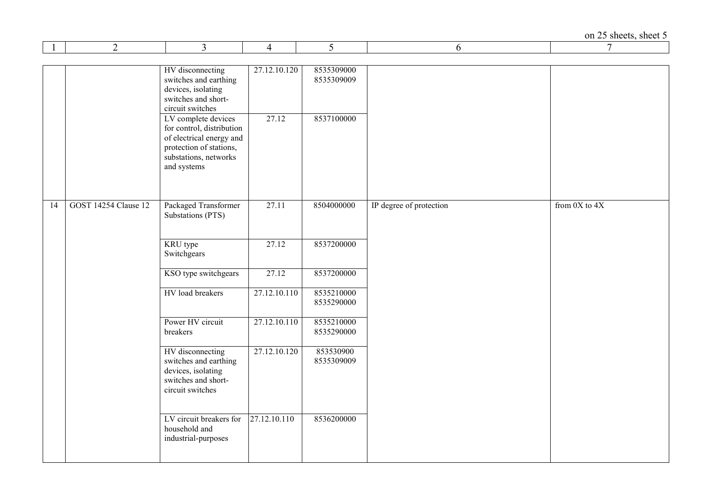| $\mathbf{1}$ | $\overline{2}$              | $\overline{3}$                                                                                                                                  | $\overline{4}$ | 5                        | 6                       | $7\phantom{.0}$   |
|--------------|-----------------------------|-------------------------------------------------------------------------------------------------------------------------------------------------|----------------|--------------------------|-------------------------|-------------------|
|              |                             |                                                                                                                                                 |                |                          |                         |                   |
|              |                             | HV disconnecting<br>switches and earthing<br>devices, isolating<br>switches and short-<br>circuit switches                                      | 27.12.10.120   | 8535309000<br>8535309009 |                         |                   |
|              |                             | LV complete devices<br>for control, distribution<br>of electrical energy and<br>protection of stations,<br>substations, networks<br>and systems | 27.12          | 8537100000               |                         |                   |
|              |                             |                                                                                                                                                 |                |                          |                         |                   |
| 14           | <b>GOST 14254 Clause 12</b> | Packaged Transformer<br>Substations (PTS)                                                                                                       | 27.11          | 8504000000               | IP degree of protection | from $0X$ to $4X$ |
|              |                             | KRU type<br>Switchgears                                                                                                                         | 27.12          | 8537200000               |                         |                   |
|              |                             | KSO type switchgears                                                                                                                            | 27.12          | 8537200000               |                         |                   |
|              |                             | HV load breakers                                                                                                                                | 27.12.10.110   | 8535210000<br>8535290000 |                         |                   |
|              |                             | Power HV circuit<br>breakers                                                                                                                    | 27.12.10.110   | 8535210000<br>8535290000 |                         |                   |
|              |                             | HV disconnecting<br>switches and earthing<br>devices, isolating<br>switches and short-<br>circuit switches                                      | 27.12.10.120   | 853530900<br>8535309009  |                         |                   |
|              |                             | LV circuit breakers for<br>household and<br>industrial-purposes                                                                                 | 27.12.10.110   | 8536200000               |                         |                   |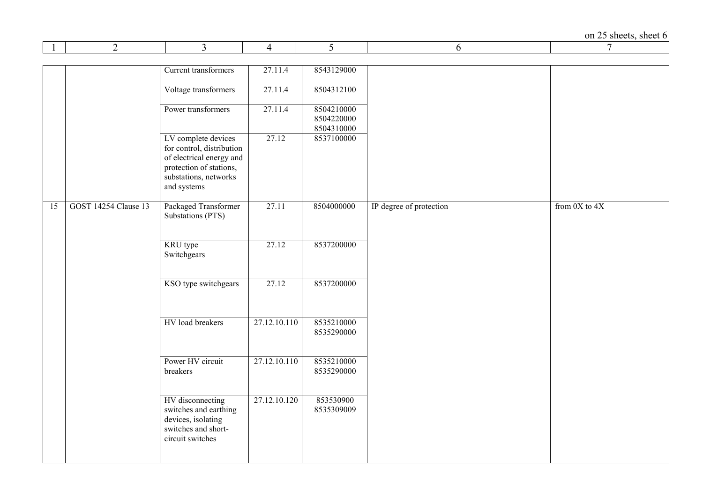|    | 2                           | 3                                                                                                          | 4            | 5                        | 6                       | 7                 |
|----|-----------------------------|------------------------------------------------------------------------------------------------------------|--------------|--------------------------|-------------------------|-------------------|
|    |                             |                                                                                                            |              |                          |                         |                   |
|    |                             | Current transformers                                                                                       | 27.11.4      | 8543129000               |                         |                   |
|    |                             |                                                                                                            |              |                          |                         |                   |
|    |                             | Voltage transformers                                                                                       | 27.11.4      | 8504312100               |                         |                   |
|    |                             | Power transformers                                                                                         | 27.11.4      | 8504210000               |                         |                   |
|    |                             |                                                                                                            |              | 8504220000               |                         |                   |
|    |                             |                                                                                                            |              | 8504310000               |                         |                   |
|    |                             | LV complete devices<br>for control, distribution<br>of electrical energy and<br>protection of stations,    | 27.12        | 8537100000               |                         |                   |
|    |                             | substations, networks<br>and systems                                                                       |              |                          |                         |                   |
| 15 | <b>GOST 14254 Clause 13</b> | Packaged Transformer<br>Substations (PTS)                                                                  | 27.11        | 8504000000               | IP degree of protection | from $0X$ to $4X$ |
|    |                             |                                                                                                            |              |                          |                         |                   |
|    |                             | KRU type<br>Switchgears                                                                                    | 27.12        | 8537200000               |                         |                   |
|    |                             |                                                                                                            |              |                          |                         |                   |
|    |                             | KSO type switchgears                                                                                       | 27.12        | 8537200000               |                         |                   |
|    |                             |                                                                                                            |              |                          |                         |                   |
|    |                             | HV load breakers                                                                                           | 27.12.10.110 | 8535210000<br>8535290000 |                         |                   |
|    |                             |                                                                                                            |              |                          |                         |                   |
|    |                             | Power HV circuit<br>breakers                                                                               | 27.12.10.110 | 8535210000<br>8535290000 |                         |                   |
|    |                             | HV disconnecting<br>switches and earthing<br>devices, isolating<br>switches and short-<br>circuit switches | 27.12.10.120 | 853530900<br>8535309009  |                         |                   |
|    |                             |                                                                                                            |              |                          |                         |                   |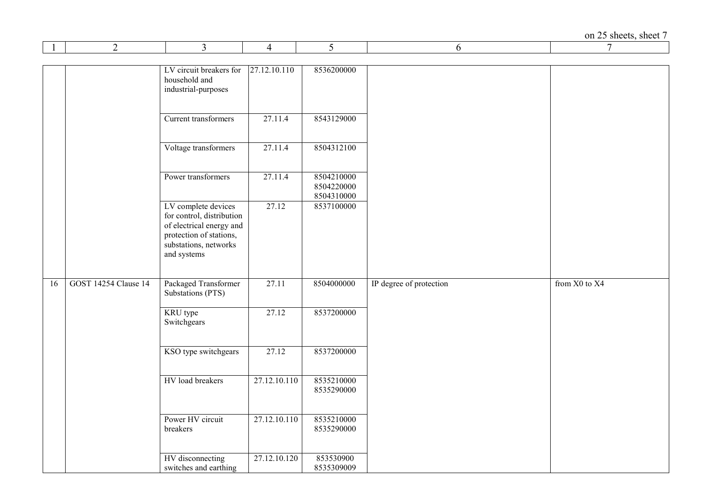| $\perp$ | 2                           | 3                                                                                                                                               | 4            | 5                                      | 6                       | 7             |
|---------|-----------------------------|-------------------------------------------------------------------------------------------------------------------------------------------------|--------------|----------------------------------------|-------------------------|---------------|
|         |                             |                                                                                                                                                 |              |                                        |                         |               |
|         |                             | LV circuit breakers for<br>household and<br>industrial-purposes                                                                                 | 27.12.10.110 | 8536200000                             |                         |               |
|         |                             | Current transformers                                                                                                                            | 27.11.4      | 8543129000                             |                         |               |
|         |                             | Voltage transformers                                                                                                                            | 27.11.4      | 8504312100                             |                         |               |
|         |                             | Power transformers                                                                                                                              | 27.11.4      | 8504210000<br>8504220000<br>8504310000 |                         |               |
|         |                             | LV complete devices<br>for control, distribution<br>of electrical energy and<br>protection of stations,<br>substations, networks<br>and systems | 27.12        | 8537100000                             |                         |               |
| 16      | <b>GOST 14254 Clause 14</b> | Packaged Transformer<br>Substations (PTS)                                                                                                       | 27.11        | 8504000000                             | IP degree of protection | from X0 to X4 |
|         |                             | KRU type<br>Switchgears                                                                                                                         | 27.12        | 8537200000                             |                         |               |
|         |                             | KSO type switchgears                                                                                                                            | 27.12        | 8537200000                             |                         |               |
|         |                             | HV load breakers                                                                                                                                | 27.12.10.110 | 8535210000<br>8535290000               |                         |               |
|         |                             | Power HV circuit<br>breakers                                                                                                                    | 27.12.10.110 | 8535210000<br>8535290000               |                         |               |
|         |                             | HV disconnecting<br>switches and earthing                                                                                                       | 27.12.10.120 | 853530900<br>8535309009                |                         |               |

 $\blacksquare$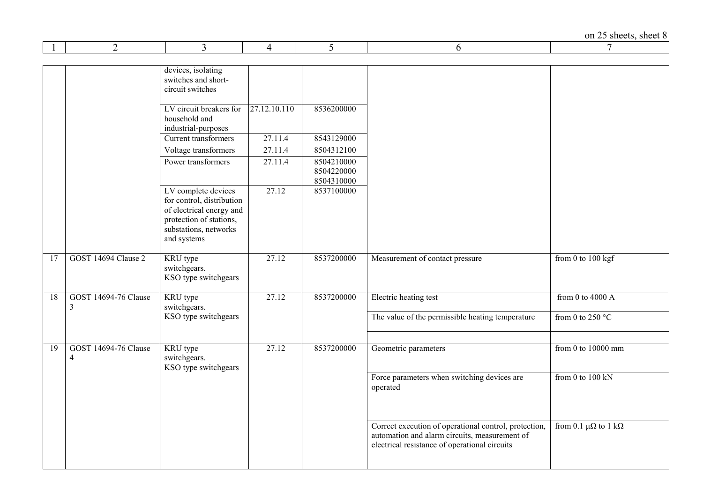on 25 sheets, sheet  $8 \over 7$ 

|    | 2                                             | 3                                                                                                                                               | 4            | 5                                      | 6                                                                                                                                                       | 7                                    |
|----|-----------------------------------------------|-------------------------------------------------------------------------------------------------------------------------------------------------|--------------|----------------------------------------|---------------------------------------------------------------------------------------------------------------------------------------------------------|--------------------------------------|
|    |                                               | devices, isolating<br>switches and short-<br>circuit switches                                                                                   |              |                                        |                                                                                                                                                         |                                      |
|    |                                               | LV circuit breakers for<br>household and<br>industrial-purposes                                                                                 | 27.12.10.110 | 8536200000                             |                                                                                                                                                         |                                      |
|    |                                               | Current transformers                                                                                                                            | 27.11.4      | 8543129000                             |                                                                                                                                                         |                                      |
|    |                                               | Voltage transformers                                                                                                                            | 27.11.4      | 8504312100                             |                                                                                                                                                         |                                      |
|    |                                               | Power transformers                                                                                                                              | 27.11.4      | 8504210000<br>8504220000<br>8504310000 |                                                                                                                                                         |                                      |
|    |                                               | LV complete devices<br>for control, distribution<br>of electrical energy and<br>protection of stations,<br>substations, networks<br>and systems | 27.12        | 8537100000                             |                                                                                                                                                         |                                      |
| 17 | GOST 14694 Clause 2                           | KRU type<br>switchgears.<br>KSO type switchgears                                                                                                | 27.12        | 8537200000                             | Measurement of contact pressure                                                                                                                         | from 0 to 100 kgf                    |
| 18 | <b>GOST 14694-76 Clause</b><br>$\mathfrak{Z}$ | KRU type<br>switchgears.                                                                                                                        | 27.12        | 8537200000                             | Electric heating test                                                                                                                                   | from 0 to 4000 $\overline{A}$        |
|    |                                               | KSO type switchgears                                                                                                                            |              |                                        | The value of the permissible heating temperature                                                                                                        | from 0 to 250 $^{\circ}$ C           |
| 19 | <b>GOST 14694-76 Clause</b><br>4              | KRU type<br>switchgears.<br>KSO type switchgears                                                                                                | 27.12        | 8537200000                             | Geometric parameters                                                                                                                                    | from 0 to $10000$ mm                 |
|    |                                               |                                                                                                                                                 |              |                                        | Force parameters when switching devices are<br>operated                                                                                                 | from 0 to $100$ kN                   |
|    |                                               |                                                                                                                                                 |              |                                        | Correct execution of operational control, protection,<br>automation and alarm circuits, measurement of<br>electrical resistance of operational circuits | from 0.1 $\mu\Omega$ to 1 k $\Omega$ |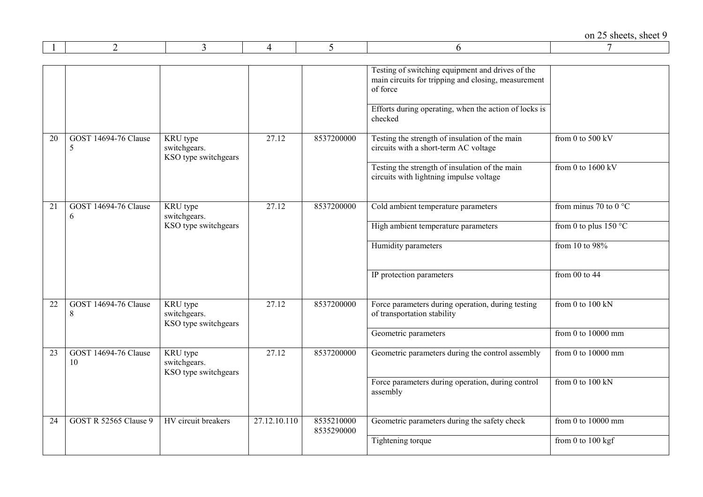|    |                                   |                                                         |                    |                          | Testing of switching equipment and drives of the<br>main circuits for tripping and closing, measurement<br>of force |                                   |
|----|-----------------------------------|---------------------------------------------------------|--------------------|--------------------------|---------------------------------------------------------------------------------------------------------------------|-----------------------------------|
|    |                                   |                                                         |                    |                          | Efforts during operating, when the action of locks is<br>checked                                                    |                                   |
| 20 | <b>GOST 14694-76 Clause</b><br>5  | KRU type<br>switchgears.<br>KSO type switchgears        | 27.12              | 8537200000               | Testing the strength of insulation of the main<br>circuits with a short-term AC voltage                             | from 0 to $500$ kV                |
|    |                                   |                                                         |                    |                          | Testing the strength of insulation of the main<br>circuits with lightning impulse voltage                           | from 0 to $1600 \text{ kV}$       |
| 21 | <b>GOST 14694-76 Clause</b><br>6  | KRU type<br>switchgears.                                | 27.12              | 8537200000               | Cold ambient temperature parameters                                                                                 | from minus 70 to $0^{\circ}$ C    |
|    |                                   | KSO type switchgears                                    |                    |                          | High ambient temperature parameters                                                                                 | from 0 to plus $150 °C$           |
|    |                                   |                                                         |                    |                          | Humidity parameters                                                                                                 | from 10 to 98%                    |
|    |                                   |                                                         |                    |                          | IP protection parameters                                                                                            | from $00$ to $44$                 |
| 22 | <b>GOST 14694-76 Clause</b><br>8  | KRU type<br>switchgears.<br>KSO type switchgears        | 27.12              | 8537200000               | Force parameters during operation, during testing<br>of transportation stability                                    | from 0 to 100 kN                  |
|    |                                   |                                                         |                    |                          | Geometric parameters                                                                                                | from $\overline{0}$ to $10000$ mm |
| 23 | <b>GOST 14694-76 Clause</b><br>10 | <b>KRU</b> type<br>switchgears.<br>KSO type switchgears | $\overline{27.12}$ | 8537200000               | Geometric parameters during the control assembly                                                                    | from $0$ to $10000$ mm            |
|    |                                   |                                                         |                    |                          | Force parameters during operation, during control<br>assembly                                                       | from 0 to $100$ kN                |
| 24 | <b>GOST R 52565 Clause 9</b>      | HV circuit breakers                                     | 27.12.10.110       | 8535210000<br>8535290000 | Geometric parameters during the safety check                                                                        | from $0$ to $10000$ mm            |
|    |                                   |                                                         |                    |                          | Tightening torque                                                                                                   | from 0 to 100 kgf                 |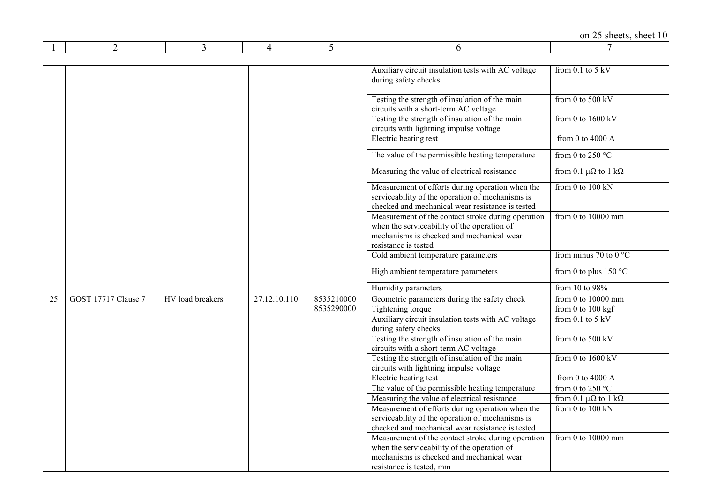|    |                     |                  |              |            |                                                                                                                                                                        | on 25 sheets, sheet 10               |
|----|---------------------|------------------|--------------|------------|------------------------------------------------------------------------------------------------------------------------------------------------------------------------|--------------------------------------|
|    | $\overline{2}$      | 3                | 4            | 5          | 6                                                                                                                                                                      |                                      |
|    |                     |                  |              |            |                                                                                                                                                                        |                                      |
|    |                     |                  |              |            | Auxiliary circuit insulation tests with AC voltage<br>during safety checks                                                                                             | from $0.1$ to $5$ kV                 |
|    |                     |                  |              |            | Testing the strength of insulation of the main<br>circuits with a short-term AC voltage                                                                                | from 0 to $500$ kV                   |
|    |                     |                  |              |            | Testing the strength of insulation of the main<br>circuits with lightning impulse voltage                                                                              | from 0 to $1600 \text{ kV}$          |
|    |                     |                  |              |            | Electric heating test                                                                                                                                                  | from 0 to 4000 $A$                   |
|    |                     |                  |              |            | The value of the permissible heating temperature                                                                                                                       | from 0 to 250 $^{\circ}$ C           |
|    |                     |                  |              |            | Measuring the value of electrical resistance                                                                                                                           | from 0.1 $\mu\Omega$ to 1 k $\Omega$ |
|    |                     |                  |              |            | Measurement of efforts during operation when the<br>serviceability of the operation of mechanisms is<br>checked and mechanical wear resistance is tested               | from $0$ to $100$ kN                 |
|    |                     |                  |              |            | Measurement of the contact stroke during operation<br>when the serviceability of the operation of<br>mechanisms is checked and mechanical wear<br>resistance is tested | from 0 to $10000$ mm                 |
|    |                     |                  |              |            | Cold ambient temperature parameters                                                                                                                                    | from minus 70 to 0 $^{\circ}$ C      |
|    |                     |                  |              |            | High ambient temperature parameters                                                                                                                                    | from 0 to plus 150 $\degree$ C       |
|    |                     |                  |              |            | Humidity parameters                                                                                                                                                    | from 10 to 98%                       |
| 25 | GOST 17717 Clause 7 | HV load breakers | 27.12.10.110 | 8535210000 | Geometric parameters during the safety check                                                                                                                           | from 0 to 10000 mm                   |
|    |                     |                  |              | 8535290000 | Tightening torque                                                                                                                                                      | from $0$ to $100$ kgf                |
|    |                     |                  |              |            | Auxiliary circuit insulation tests with AC voltage<br>during safety checks                                                                                             | from $0.1$ to $5$ kV                 |
|    |                     |                  |              |            | Testing the strength of insulation of the main<br>circuits with a short-term AC voltage                                                                                | from 0 to $500 \text{ kV}$           |
|    |                     |                  |              |            | Testing the strength of insulation of the main<br>circuits with lightning impulse voltage                                                                              | from 0 to $1600 \text{ kV}$          |
|    |                     |                  |              |            | Electric heating test                                                                                                                                                  | from 0 to 4000 $A$                   |
|    |                     |                  |              |            | The value of the permissible heating temperature                                                                                                                       | from 0 to 250 $^{\circ}$ C           |
|    |                     |                  |              |            | Measuring the value of electrical resistance                                                                                                                           | from 0.1 $\mu\Omega$ to 1 k $\Omega$ |
|    |                     |                  |              |            | Measurement of efforts during operation when the                                                                                                                       | from 0 to $100$ kN                   |
|    |                     |                  |              |            | serviceability of the operation of mechanisms is                                                                                                                       |                                      |
|    |                     |                  |              |            | checked and mechanical wear resistance is tested                                                                                                                       |                                      |
|    |                     |                  |              |            | Measurement of the contact stroke during operation                                                                                                                     | from $0$ to $10000$ mm               |
|    |                     |                  |              |            | when the serviceability of the operation of                                                                                                                            |                                      |
|    |                     |                  |              |            | mechanisms is checked and mechanical wear                                                                                                                              |                                      |
|    |                     |                  |              |            | resistance is tested, mm                                                                                                                                               |                                      |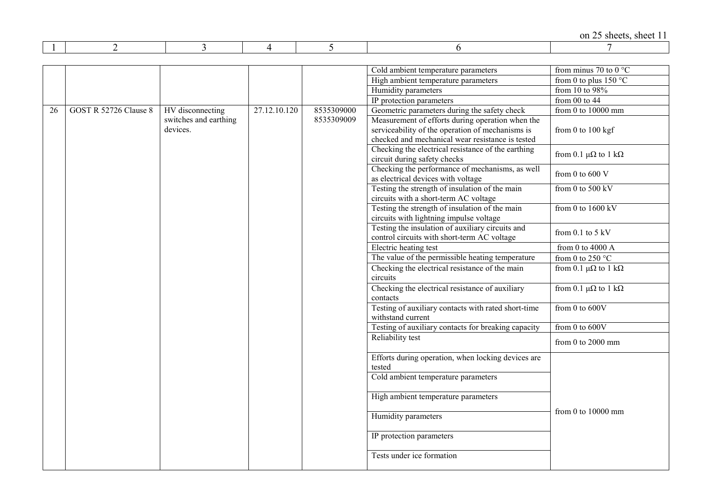|    |                       |                                   |              |            | Cold ambient temperature parameters                                                                                                                      | from minus 70 to 0 $^{\circ}$ C      |
|----|-----------------------|-----------------------------------|--------------|------------|----------------------------------------------------------------------------------------------------------------------------------------------------------|--------------------------------------|
|    |                       |                                   |              |            | High ambient temperature parameters                                                                                                                      | from 0 to plus $150 °C$              |
|    |                       |                                   |              |            | Humidity parameters                                                                                                                                      | from 10 to 98%                       |
|    |                       |                                   |              |            | IP protection parameters                                                                                                                                 | from $00$ to $44$                    |
| 26 | GOST R 52726 Clause 8 | HV disconnecting                  | 27.12.10.120 | 8535309000 | Geometric parameters during the safety check                                                                                                             | from $0$ to $10000$ mm               |
|    |                       | switches and earthing<br>devices. |              | 8535309009 | Measurement of efforts during operation when the<br>serviceability of the operation of mechanisms is<br>checked and mechanical wear resistance is tested | from 0 to 100 kgf                    |
|    |                       |                                   |              |            | Checking the electrical resistance of the earthing<br>circuit during safety checks                                                                       | from 0.1 $\mu\Omega$ to 1 k $\Omega$ |
|    |                       |                                   |              |            | Checking the performance of mechanisms, as well<br>as electrical devices with voltage                                                                    | from 0 to 600 $V$                    |
|    |                       |                                   |              |            | Testing the strength of insulation of the main<br>circuits with a short-term AC voltage                                                                  | from 0 to 500 $kV$                   |
|    |                       |                                   |              |            | Testing the strength of insulation of the main<br>circuits with lightning impulse voltage                                                                | from 0 to $1600$ kV                  |
|    |                       |                                   |              |            | Testing the insulation of auxiliary circuits and<br>control circuits with short-term AC voltage                                                          | from 0.1 to $5 \text{ kV}$           |
|    |                       |                                   |              |            | Electric heating test                                                                                                                                    | from 0 to 4000 $A$                   |
|    |                       |                                   |              |            | The value of the permissible heating temperature                                                                                                         | from 0 to 250 $^{\circ}$ C           |
|    |                       |                                   |              |            | Checking the electrical resistance of the main<br>circuits                                                                                               | from 0.1 $\mu\Omega$ to 1 k $\Omega$ |
|    |                       |                                   |              |            | Checking the electrical resistance of auxiliary<br>contacts                                                                                              | from 0.1 $\mu\Omega$ to 1 k $\Omega$ |
|    |                       |                                   |              |            | Testing of auxiliary contacts with rated short-time<br>withstand current                                                                                 | from 0 to 600V                       |
|    |                       |                                   |              |            | Testing of auxiliary contacts for breaking capacity                                                                                                      | from 0 to 600V                       |
|    |                       |                                   |              |            | Reliability test                                                                                                                                         | from $0$ to $2000$ mm                |
|    |                       |                                   |              |            | Efforts during operation, when locking devices are<br>tested                                                                                             |                                      |
|    |                       |                                   |              |            | Cold ambient temperature parameters                                                                                                                      |                                      |
|    |                       |                                   |              |            | High ambient temperature parameters                                                                                                                      | from 0 to $10000$ mm                 |
|    |                       |                                   |              |            | Humidity parameters                                                                                                                                      |                                      |
|    |                       |                                   |              |            | IP protection parameters                                                                                                                                 |                                      |
|    |                       |                                   |              |            | Tests under ice formation                                                                                                                                |                                      |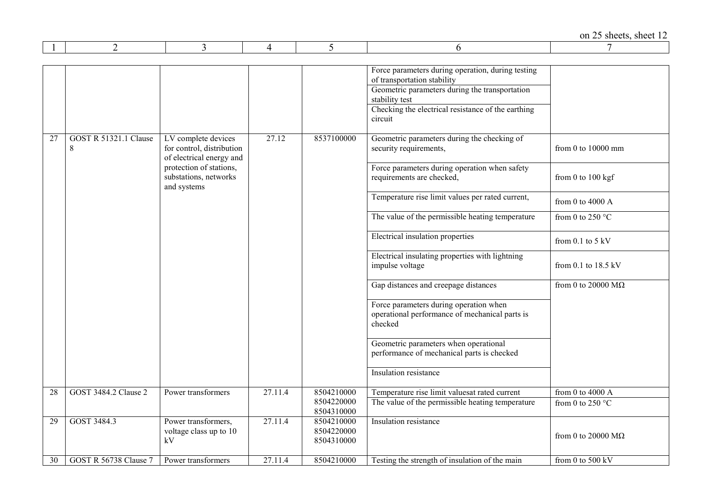|    |                                   |                                                                              |         |                                        | Force parameters during operation, during testing<br>of transportation stability<br>Geometric parameters during the transportation<br>stability test<br>Checking the electrical resistance of the earthing<br>circuit |                                  |
|----|-----------------------------------|------------------------------------------------------------------------------|---------|----------------------------------------|-----------------------------------------------------------------------------------------------------------------------------------------------------------------------------------------------------------------------|----------------------------------|
| 27 | <b>GOST R 51321.1 Clause</b><br>8 | LV complete devices<br>for control, distribution<br>of electrical energy and | 27.12   | 8537100000                             | Geometric parameters during the checking of<br>security requirements,                                                                                                                                                 | from 0 to 10000 mm               |
|    |                                   | protection of stations,<br>substations, networks<br>and systems              |         |                                        | Force parameters during operation when safety<br>requirements are checked,                                                                                                                                            | from $0$ to $100$ kgf            |
|    |                                   |                                                                              |         |                                        | Temperature rise limit values per rated current,                                                                                                                                                                      | from 0 to 4000 $A$               |
|    |                                   |                                                                              |         |                                        | The value of the permissible heating temperature                                                                                                                                                                      | from 0 to 250 $^{\circ}$ C       |
|    |                                   |                                                                              |         |                                        | Electrical insulation properties                                                                                                                                                                                      | from $0.1$ to $5$ kV             |
|    |                                   |                                                                              |         |                                        | Electrical insulating properties with lightning<br>impulse voltage                                                                                                                                                    | from 0.1 to $18.5 \text{ kV}$    |
|    |                                   |                                                                              |         |                                        | Gap distances and creepage distances                                                                                                                                                                                  | from 0 to 20000 $\rm{M}\Omega$   |
|    |                                   |                                                                              |         |                                        | Force parameters during operation when<br>operational performance of mechanical parts is<br>checked                                                                                                                   |                                  |
|    |                                   |                                                                              |         |                                        | Geometric parameters when operational<br>performance of mechanical parts is checked                                                                                                                                   |                                  |
|    |                                   |                                                                              |         |                                        | Insulation resistance                                                                                                                                                                                                 |                                  |
| 28 | GOST 3484.2 Clause 2              | Power transformers                                                           | 27.11.4 | 8504210000                             | Temperature rise limit valuesat rated current                                                                                                                                                                         | from 0 to 4000 $A$               |
|    |                                   |                                                                              |         | 8504220000<br>8504310000               | The value of the permissible heating temperature                                                                                                                                                                      | from 0 to 250 $^{\circ}$ C       |
| 29 | GOST 3484.3                       | Power transformers,<br>voltage class up to 10<br>kV                          | 27.11.4 | 8504210000<br>8504220000<br>8504310000 | Insulation resistance                                                                                                                                                                                                 | from 0 to 20000 $\text{M}\Omega$ |
| 30 | GOST R 56738 Clause 7             | Power transformers                                                           | 27.11.4 | 8504210000                             | Testing the strength of insulation of the main                                                                                                                                                                        | from 0 to $500$ kV               |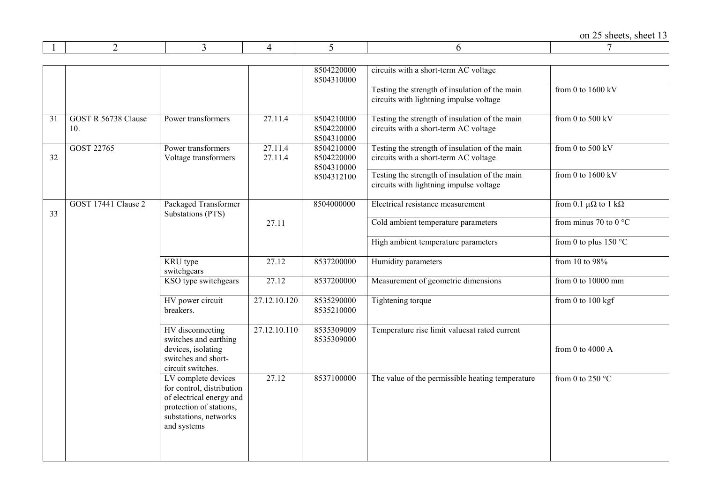|--|--|--|--|--|--|--|

|    |                            |                                                                                                                                                 |                    | 8504220000<br>8504310000               | circuits with a short-term AC voltage                                                     |                                      |
|----|----------------------------|-------------------------------------------------------------------------------------------------------------------------------------------------|--------------------|----------------------------------------|-------------------------------------------------------------------------------------------|--------------------------------------|
|    |                            |                                                                                                                                                 |                    |                                        | Testing the strength of insulation of the main<br>circuits with lightning impulse voltage | from 0 to $1600$ kV                  |
| 31 | GOST R 56738 Clause<br>10. | Power transformers                                                                                                                              | 27.11.4            | 8504210000<br>8504220000<br>8504310000 | Testing the strength of insulation of the main<br>circuits with a short-term AC voltage   | from 0 to $500$ kV                   |
| 32 | GOST 22765                 | Power transformers<br>Voltage transformers                                                                                                      | 27.11.4<br>27.11.4 | 8504210000<br>8504220000<br>8504310000 | Testing the strength of insulation of the main<br>circuits with a short-term AC voltage   | from 0 to 500 kV                     |
|    |                            |                                                                                                                                                 |                    | 8504312100                             | Testing the strength of insulation of the main<br>circuits with lightning impulse voltage | from 0 to $1600$ kV                  |
| 33 | GOST 17441 Clause 2        | Packaged Transformer<br>Substations (PTS)                                                                                                       |                    | 8504000000                             | Electrical resistance measurement                                                         | from 0.1 $\mu\Omega$ to 1 k $\Omega$ |
|    |                            |                                                                                                                                                 | 27.11              |                                        | Cold ambient temperature parameters                                                       | from minus 70 to 0 $^{\circ}$ C      |
|    |                            |                                                                                                                                                 |                    |                                        | High ambient temperature parameters                                                       | from 0 to plus $150 °C$              |
|    |                            | KRU type<br>switchgears                                                                                                                         | 27.12              | 8537200000                             | Humidity parameters                                                                       | from 10 to 98%                       |
|    |                            | KSO type switchgears                                                                                                                            | 27.12              | 8537200000                             | Measurement of geometric dimensions                                                       | from 0 to 10000 mm                   |
|    |                            | HV power circuit<br>breakers.                                                                                                                   | 27.12.10.120       | 8535290000<br>8535210000               | Tightening torque                                                                         | from 0 to $100$ kgf                  |
|    |                            | HV disconnecting<br>switches and earthing<br>devices, isolating<br>switches and short-<br>circuit switches.                                     | 27.12.10.110       | 8535309009<br>8535309000               | Temperature rise limit valuesat rated current                                             | from 0 to 4000 $A$                   |
|    |                            | LV complete devices<br>for control, distribution<br>of electrical energy and<br>protection of stations,<br>substations, networks<br>and systems | 27.12              | 8537100000                             | The value of the permissible heating temperature                                          | from 0 to 250 $^{\circ}$ C           |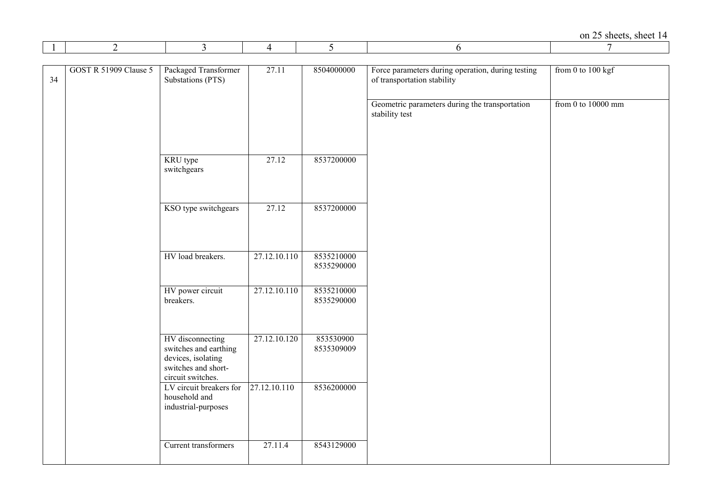on 25 sheets, sheet  $\frac{14}{7}$ 

| $\perp$ | $\overline{2}$               | 3                                                                                                           | 4            | 5                        | 6                                                                                | 7                    |
|---------|------------------------------|-------------------------------------------------------------------------------------------------------------|--------------|--------------------------|----------------------------------------------------------------------------------|----------------------|
|         |                              |                                                                                                             |              |                          |                                                                                  |                      |
| 34      | <b>GOST R 51909 Clause 5</b> | Packaged Transformer<br>Substations (PTS)                                                                   | 27.11        | 8504000000               | Force parameters during operation, during testing<br>of transportation stability | from 0 to $100$ kgf  |
|         |                              |                                                                                                             |              |                          | Geometric parameters during the transportation<br>stability test                 | from 0 to $10000$ mm |
|         |                              | KRU type<br>switchgears                                                                                     | 27.12        | 8537200000               |                                                                                  |                      |
|         |                              | KSO type switchgears                                                                                        | 27.12        | 8537200000               |                                                                                  |                      |
|         |                              | HV load breakers.                                                                                           | 27.12.10.110 | 8535210000<br>8535290000 |                                                                                  |                      |
|         |                              | HV power circuit<br>breakers.                                                                               | 27.12.10.110 | 8535210000<br>8535290000 |                                                                                  |                      |
|         |                              | HV disconnecting<br>switches and earthing<br>devices, isolating<br>switches and short-<br>circuit switches. | 27.12.10.120 | 853530900<br>8535309009  |                                                                                  |                      |
|         |                              | LV circuit breakers for<br>household and<br>industrial-purposes                                             | 27.12.10.110 | 8536200000               |                                                                                  |                      |
|         |                              | Current transformers                                                                                        | 27.11.4      | 8543129000               |                                                                                  |                      |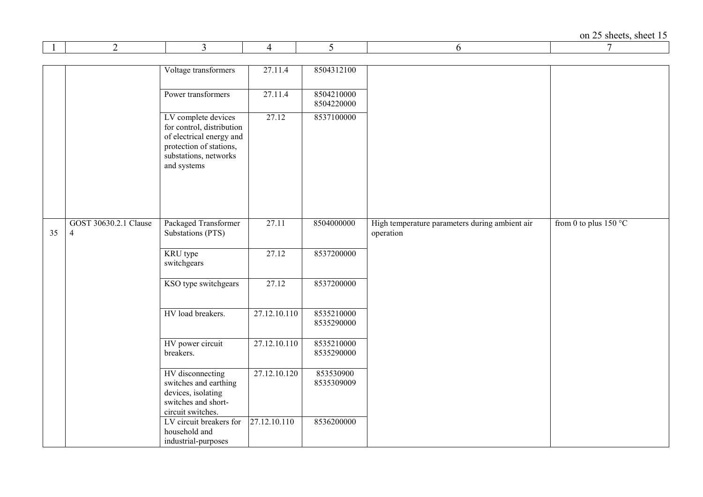|    | 2                     | 3                                                | 4            | 5                        | 6                                              | 7                       |
|----|-----------------------|--------------------------------------------------|--------------|--------------------------|------------------------------------------------|-------------------------|
|    |                       |                                                  |              |                          |                                                |                         |
|    |                       | Voltage transformers                             | 27.11.4      | 8504312100               |                                                |                         |
|    |                       |                                                  |              |                          |                                                |                         |
|    |                       | Power transformers                               | 27.11.4      | 8504210000<br>8504220000 |                                                |                         |
|    |                       |                                                  | 27.12        |                          |                                                |                         |
|    |                       | LV complete devices<br>for control, distribution |              | 8537100000               |                                                |                         |
|    |                       | of electrical energy and                         |              |                          |                                                |                         |
|    |                       | protection of stations,<br>substations, networks |              |                          |                                                |                         |
|    |                       | and systems                                      |              |                          |                                                |                         |
|    |                       |                                                  |              |                          |                                                |                         |
|    |                       |                                                  |              |                          |                                                |                         |
|    |                       |                                                  |              |                          |                                                |                         |
|    | GOST 30630.2.1 Clause | Packaged Transformer                             | 27.11        | 8504000000               | High temperature parameters during ambient air | from 0 to plus $150 °C$ |
| 35 | $\overline{4}$        | Substations (PTS)                                |              |                          | operation                                      |                         |
|    |                       |                                                  |              |                          |                                                |                         |
|    |                       | KRU type<br>switchgears                          | 27.12        | 8537200000               |                                                |                         |
|    |                       |                                                  |              |                          |                                                |                         |
|    |                       | KSO type switchgears                             | 27.12        | 8537200000               |                                                |                         |
|    |                       |                                                  |              |                          |                                                |                         |
|    |                       | HV load breakers.                                | 27.12.10.110 | 8535210000               |                                                |                         |
|    |                       |                                                  |              | 8535290000               |                                                |                         |
|    |                       | HV power circuit                                 | 27.12.10.110 | 8535210000               |                                                |                         |
|    |                       | breakers.                                        |              | 8535290000               |                                                |                         |
|    |                       |                                                  |              |                          |                                                |                         |
|    |                       | HV disconnecting<br>switches and earthing        | 27.12.10.120 | 853530900<br>8535309009  |                                                |                         |
|    |                       | devices, isolating                               |              |                          |                                                |                         |
|    |                       | switches and short-                              |              |                          |                                                |                         |
|    |                       | circuit switches.<br>LV circuit breakers for     | 27.12.10.110 | 8536200000               |                                                |                         |
|    |                       | household and                                    |              |                          |                                                |                         |
|    |                       | industrial-purposes                              |              |                          |                                                |                         |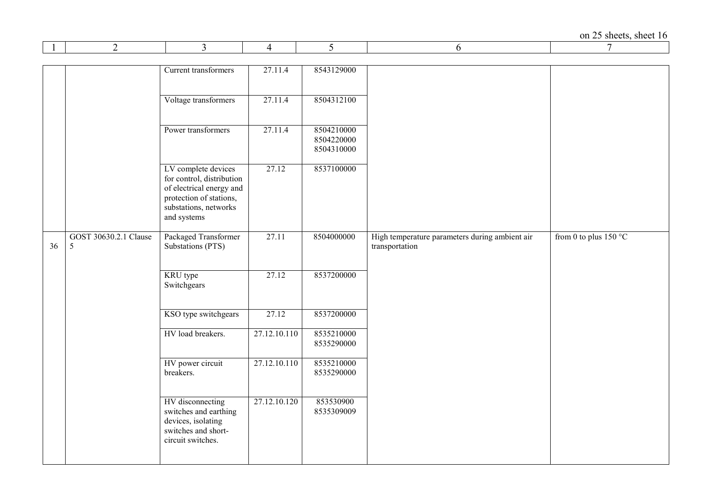|    | 2                                   | 3                                                                                                                                               | 4            | 5                                      | 6                                                                | 7                       |
|----|-------------------------------------|-------------------------------------------------------------------------------------------------------------------------------------------------|--------------|----------------------------------------|------------------------------------------------------------------|-------------------------|
|    |                                     |                                                                                                                                                 |              |                                        |                                                                  |                         |
|    |                                     | Current transformers                                                                                                                            | 27.11.4      | 8543129000                             |                                                                  |                         |
|    |                                     | Voltage transformers                                                                                                                            | 27.11.4      | 8504312100                             |                                                                  |                         |
|    |                                     | Power transformers                                                                                                                              | 27.11.4      | 8504210000<br>8504220000<br>8504310000 |                                                                  |                         |
|    |                                     | LV complete devices<br>for control, distribution<br>of electrical energy and<br>protection of stations,<br>substations, networks<br>and systems | 27.12        | 8537100000                             |                                                                  |                         |
| 36 | GOST 30630.2.1 Clause<br>$\sqrt{5}$ | Packaged Transformer<br>Substations (PTS)                                                                                                       | 27.11        | 8504000000                             | High temperature parameters during ambient air<br>transportation | from 0 to plus $150 °C$ |
|    |                                     | KRU type<br>Switchgears                                                                                                                         | 27.12        | 8537200000                             |                                                                  |                         |
|    |                                     | KSO type switchgears                                                                                                                            | 27.12        | 8537200000                             |                                                                  |                         |
|    |                                     | HV load breakers.                                                                                                                               | 27.12.10.110 | 8535210000<br>8535290000               |                                                                  |                         |
|    |                                     | HV power circuit<br>breakers.                                                                                                                   | 27.12.10.110 | 8535210000<br>8535290000               |                                                                  |                         |
|    |                                     | HV disconnecting<br>switches and earthing<br>devices, isolating<br>switches and short-<br>circuit switches.                                     | 27.12.10.120 | 853530900<br>8535309009                |                                                                  |                         |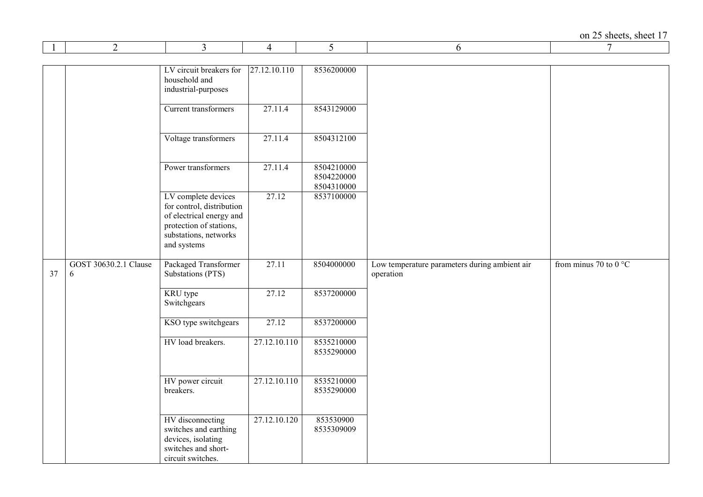|    | 2                          | 3                                                                                                                                               | 4            | 5                                      | 6                                                          | 7                              |
|----|----------------------------|-------------------------------------------------------------------------------------------------------------------------------------------------|--------------|----------------------------------------|------------------------------------------------------------|--------------------------------|
|    |                            |                                                                                                                                                 |              |                                        |                                                            |                                |
|    |                            | LV circuit breakers for<br>household and<br>industrial-purposes                                                                                 | 27.12.10.110 | 8536200000                             |                                                            |                                |
|    |                            | Current transformers                                                                                                                            | 27.11.4      | 8543129000                             |                                                            |                                |
|    |                            | Voltage transformers                                                                                                                            | 27.11.4      | 8504312100                             |                                                            |                                |
|    |                            | Power transformers                                                                                                                              | 27.11.4      | 8504210000<br>8504220000<br>8504310000 |                                                            |                                |
|    |                            | LV complete devices<br>for control, distribution<br>of electrical energy and<br>protection of stations,<br>substations, networks<br>and systems | 27.12        | 8537100000                             |                                                            |                                |
| 37 | GOST 30630.2.1 Clause<br>6 | Packaged Transformer<br>Substations (PTS)                                                                                                       | 27.11        | 8504000000                             | Low temperature parameters during ambient air<br>operation | from minus 70 to 0 $\degree$ C |
|    |                            | KRU type<br>Switchgears                                                                                                                         | 27.12        | 8537200000                             |                                                            |                                |
|    |                            | KSO type switchgears                                                                                                                            | 27.12        | 8537200000                             |                                                            |                                |
|    |                            | HV load breakers.                                                                                                                               | 27.12.10.110 | 8535210000<br>8535290000               |                                                            |                                |
|    |                            | HV power circuit<br>breakers.                                                                                                                   | 27.12.10.110 | 8535210000<br>8535290000               |                                                            |                                |
|    |                            | HV disconnecting<br>switches and earthing<br>devices, isolating<br>switches and short-<br>circuit switches.                                     | 27.12.10.120 | 853530900<br>8535309009                |                                                            |                                |

 $\mathbf{r}$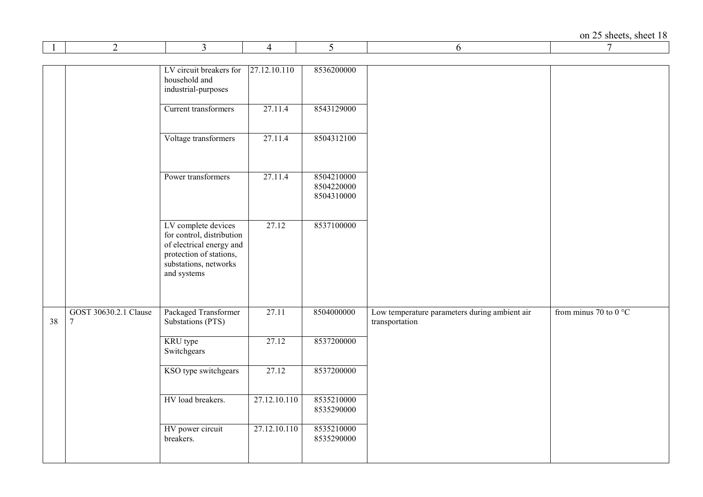|    | $\overline{2}$                          | 3                                                                                                                                               | 4            | 5                                      | 6                                                               | 7                              |
|----|-----------------------------------------|-------------------------------------------------------------------------------------------------------------------------------------------------|--------------|----------------------------------------|-----------------------------------------------------------------|--------------------------------|
|    |                                         | LV circuit breakers for<br>household and<br>industrial-purposes                                                                                 | 27.12.10.110 | 8536200000                             |                                                                 |                                |
|    |                                         | Current transformers                                                                                                                            | 27.11.4      | 8543129000                             |                                                                 |                                |
|    |                                         | Voltage transformers                                                                                                                            | 27.11.4      | 8504312100                             |                                                                 |                                |
|    |                                         | Power transformers                                                                                                                              | 27.11.4      | 8504210000<br>8504220000<br>8504310000 |                                                                 |                                |
|    |                                         | LV complete devices<br>for control, distribution<br>of electrical energy and<br>protection of stations,<br>substations, networks<br>and systems | 27.12        | 8537100000                             |                                                                 |                                |
| 38 | GOST 30630.2.1 Clause<br>$\overline{7}$ | Packaged Transformer<br>Substations (PTS)                                                                                                       | 27.11        | 8504000000                             | Low temperature parameters during ambient air<br>transportation | from minus 70 to 0 $\degree$ C |
|    |                                         | KRU type<br>Switchgears                                                                                                                         | 27.12        | 8537200000                             |                                                                 |                                |
|    |                                         | KSO type switchgears                                                                                                                            | 27.12        | 8537200000                             |                                                                 |                                |
|    |                                         | HV load breakers.                                                                                                                               | 27.12.10.110 | 8535210000<br>8535290000               |                                                                 |                                |
|    |                                         | HV power circuit<br>breakers.                                                                                                                   | 27.12.10.110 | 8535210000<br>8535290000               |                                                                 |                                |

 $\mathbf{r}$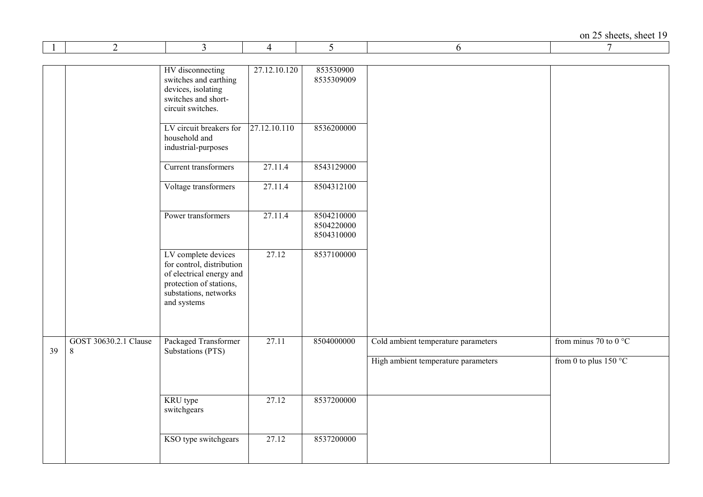|    | 2                     | 3                                                                                                                                               | 4            | 5                                      | 6                                   | 7                               |
|----|-----------------------|-------------------------------------------------------------------------------------------------------------------------------------------------|--------------|----------------------------------------|-------------------------------------|---------------------------------|
|    |                       |                                                                                                                                                 |              |                                        |                                     |                                 |
|    |                       | HV disconnecting<br>switches and earthing<br>devices, isolating<br>switches and short-<br>circuit switches.                                     | 27.12.10.120 | 853530900<br>8535309009                |                                     |                                 |
|    |                       | LV circuit breakers for<br>household and<br>industrial-purposes                                                                                 | 27.12.10.110 | 8536200000                             |                                     |                                 |
|    |                       | Current transformers                                                                                                                            | 27.11.4      | 8543129000                             |                                     |                                 |
|    |                       | Voltage transformers                                                                                                                            | 27.11.4      | 8504312100                             |                                     |                                 |
|    |                       | Power transformers                                                                                                                              | 27.11.4      | 8504210000<br>8504220000<br>8504310000 |                                     |                                 |
|    |                       | LV complete devices<br>for control, distribution<br>of electrical energy and<br>protection of stations,<br>substations, networks<br>and systems | 27.12        | 8537100000                             |                                     |                                 |
|    | GOST 30630.2.1 Clause | Packaged Transformer                                                                                                                            | 27.11        | 8504000000                             |                                     | from minus 70 to 0 $^{\circ}$ C |
| 39 | $8\,$                 | Substations (PTS)                                                                                                                               |              |                                        | Cold ambient temperature parameters |                                 |
|    |                       |                                                                                                                                                 |              |                                        | High ambient temperature parameters | from 0 to plus $150 °C$         |
|    |                       | KRU type<br>switchgears                                                                                                                         | 27.12        | 8537200000                             |                                     |                                 |
|    |                       | KSO type switchgears                                                                                                                            | 27.12        | 8537200000                             |                                     |                                 |

 $\mathbf{r}$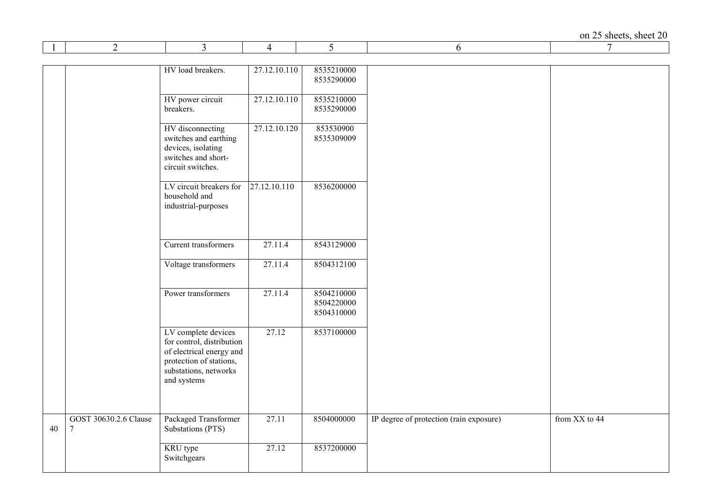|    | 2                          | 3                                                                                                                                               | 4            | 5                                      | 6                                       | 7             |
|----|----------------------------|-------------------------------------------------------------------------------------------------------------------------------------------------|--------------|----------------------------------------|-----------------------------------------|---------------|
|    |                            |                                                                                                                                                 |              |                                        |                                         |               |
|    |                            | HV load breakers.                                                                                                                               | 27.12.10.110 | 8535210000<br>8535290000               |                                         |               |
|    |                            | HV power circuit<br>breakers.                                                                                                                   | 27.12.10.110 | 8535210000<br>8535290000               |                                         |               |
|    |                            | HV disconnecting<br>switches and earthing<br>devices, isolating<br>switches and short-<br>circuit switches.                                     | 27.12.10.120 | 853530900<br>8535309009                |                                         |               |
|    |                            | LV circuit breakers for<br>household and<br>industrial-purposes                                                                                 | 27.12.10.110 | 8536200000                             |                                         |               |
|    |                            | Current transformers                                                                                                                            | 27.11.4      | 8543129000                             |                                         |               |
|    |                            | Voltage transformers                                                                                                                            | 27.11.4      | 8504312100                             |                                         |               |
|    |                            | Power transformers                                                                                                                              | 27.11.4      | 8504210000<br>8504220000<br>8504310000 |                                         |               |
|    |                            | LV complete devices<br>for control, distribution<br>of electrical energy and<br>protection of stations,<br>substations, networks<br>and systems | 27.12        | 8537100000                             |                                         |               |
| 40 | GOST 30630.2.6 Clause<br>7 | Packaged Transformer<br>Substations (PTS)                                                                                                       | 27.11        | 8504000000                             | IP degree of protection (rain exposure) | from XX to 44 |
|    |                            | KRU type<br>Switchgears                                                                                                                         | 27.12        | 8537200000                             |                                         |               |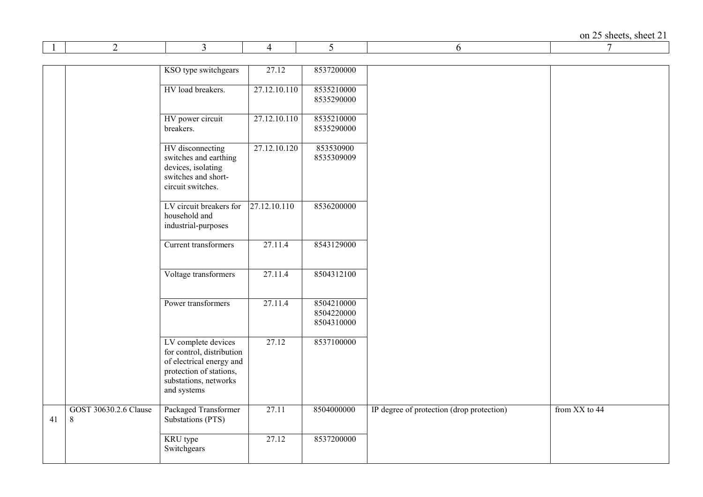|    | 2                                       | 3                                                                                                                                               | 4            | 5                                      | 6                                         | 7             |
|----|-----------------------------------------|-------------------------------------------------------------------------------------------------------------------------------------------------|--------------|----------------------------------------|-------------------------------------------|---------------|
|    |                                         |                                                                                                                                                 |              |                                        |                                           |               |
|    |                                         | KSO type switchgears                                                                                                                            | 27.12        | 8537200000                             |                                           |               |
|    |                                         | HV load breakers.                                                                                                                               | 27.12.10.110 | 8535210000<br>8535290000               |                                           |               |
|    |                                         | HV power circuit<br>breakers.                                                                                                                   | 27.12.10.110 | 8535210000<br>8535290000               |                                           |               |
|    |                                         | HV disconnecting<br>switches and earthing<br>devices, isolating<br>switches and short-<br>circuit switches.                                     | 27.12.10.120 | 853530900<br>8535309009                |                                           |               |
|    |                                         | LV circuit breakers for<br>household and<br>industrial-purposes                                                                                 | 27.12.10.110 | 8536200000                             |                                           |               |
|    |                                         | Current transformers                                                                                                                            | 27.11.4      | 8543129000                             |                                           |               |
|    |                                         | Voltage transformers                                                                                                                            | 27.11.4      | 8504312100                             |                                           |               |
|    |                                         | Power transformers                                                                                                                              | 27.11.4      | 8504210000<br>8504220000<br>8504310000 |                                           |               |
|    |                                         | LV complete devices<br>for control, distribution<br>of electrical energy and<br>protection of stations,<br>substations, networks<br>and systems | 27.12        | 8537100000                             |                                           |               |
| 41 | GOST 30630.2.6 Clause<br>$8\phantom{.}$ | Packaged Transformer<br>Substations (PTS)                                                                                                       | 27.11        | 8504000000                             | IP degree of protection (drop protection) | from XX to 44 |
|    |                                         | KRU type<br>Switchgears                                                                                                                         | 27.12        | 8537200000                             |                                           |               |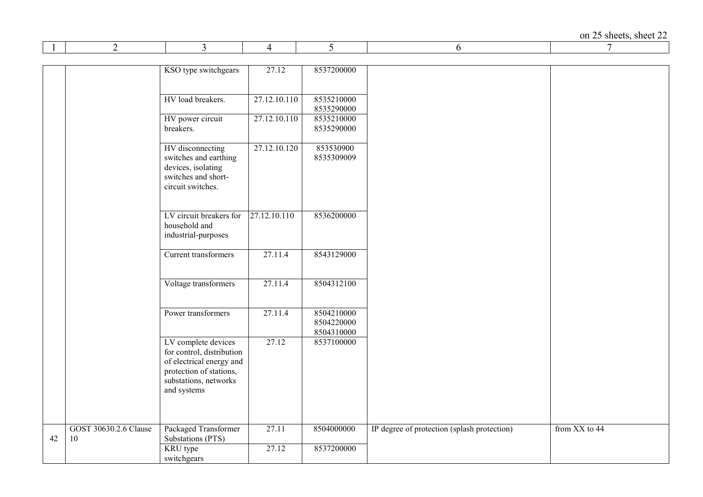on 25 sheets, sheet  $22 \over 7$ 

|    | 2                     | 3                         | 4            | 5                        | 6                                           | 7             |
|----|-----------------------|---------------------------|--------------|--------------------------|---------------------------------------------|---------------|
|    |                       |                           |              |                          |                                             |               |
|    |                       | KSO type switchgears      | 27.12        | 8537200000               |                                             |               |
|    |                       |                           |              |                          |                                             |               |
|    |                       |                           |              |                          |                                             |               |
|    |                       | HV load breakers.         | 27.12.10.110 | 8535210000               |                                             |               |
|    |                       |                           |              | 8535290000               |                                             |               |
|    |                       | HV power circuit          | 27.12.10.110 | 8535210000               |                                             |               |
|    |                       | breakers.                 |              | 8535290000               |                                             |               |
|    |                       |                           |              |                          |                                             |               |
|    |                       | HV disconnecting          | 27.12.10.120 | 853530900                |                                             |               |
|    |                       | switches and earthing     |              | 8535309009               |                                             |               |
|    |                       | devices, isolating        |              |                          |                                             |               |
|    |                       | switches and short-       |              |                          |                                             |               |
|    |                       | circuit switches.         |              |                          |                                             |               |
|    |                       |                           |              |                          |                                             |               |
|    |                       | LV circuit breakers for   | 27.12.10.110 | 8536200000               |                                             |               |
|    |                       | household and             |              |                          |                                             |               |
|    |                       | industrial-purposes       |              |                          |                                             |               |
|    |                       |                           |              |                          |                                             |               |
|    |                       | Current transformers      | 27.11.4      | 8543129000               |                                             |               |
|    |                       |                           |              |                          |                                             |               |
|    |                       |                           |              |                          |                                             |               |
|    |                       | Voltage transformers      | 27.11.4      | 8504312100               |                                             |               |
|    |                       |                           |              |                          |                                             |               |
|    |                       |                           |              |                          |                                             |               |
|    |                       | Power transformers        | 27.11.4      | 8504210000               |                                             |               |
|    |                       |                           |              | 8504220000               |                                             |               |
|    |                       | LV complete devices       | 27.12        | 8504310000<br>8537100000 |                                             |               |
|    |                       | for control, distribution |              |                          |                                             |               |
|    |                       | of electrical energy and  |              |                          |                                             |               |
|    |                       | protection of stations,   |              |                          |                                             |               |
|    |                       | substations, networks     |              |                          |                                             |               |
|    |                       | and systems               |              |                          |                                             |               |
|    |                       |                           |              |                          |                                             |               |
|    |                       |                           |              |                          |                                             |               |
|    |                       |                           |              |                          |                                             |               |
|    | GOST 30630.2.6 Clause | Packaged Transformer      | 27.11        | 8504000000               | IP degree of protection (splash protection) | from XX to 44 |
| 42 | 10                    | Substations (PTS)         |              |                          |                                             |               |
|    |                       | KRU type                  | 27.12        | 8537200000               |                                             |               |
|    |                       | switchgears               |              |                          |                                             |               |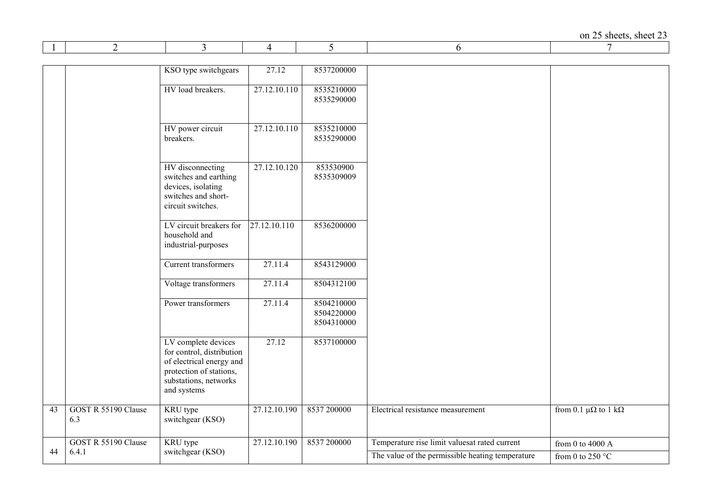|                 | 2                          | 3                                                                                                                                               | 4            | 5                                      | 6                                                | 7                                    |
|-----------------|----------------------------|-------------------------------------------------------------------------------------------------------------------------------------------------|--------------|----------------------------------------|--------------------------------------------------|--------------------------------------|
|                 |                            |                                                                                                                                                 |              |                                        |                                                  |                                      |
|                 |                            | KSO type switchgears                                                                                                                            | 27.12        | 8537200000                             |                                                  |                                      |
|                 |                            | HV load breakers.                                                                                                                               | 27.12.10.110 | 8535210000<br>8535290000               |                                                  |                                      |
|                 |                            | HV power circuit<br>breakers.                                                                                                                   | 27.12.10.110 | 8535210000<br>8535290000               |                                                  |                                      |
|                 |                            | HV disconnecting<br>switches and earthing<br>devices, isolating<br>switches and short-<br>circuit switches.                                     | 27.12.10.120 | 853530900<br>8535309009                |                                                  |                                      |
|                 |                            | LV circuit breakers for<br>household and<br>industrial-purposes                                                                                 | 27.12.10.110 | 8536200000                             |                                                  |                                      |
|                 |                            | Current transformers                                                                                                                            | 27.11.4      | 8543129000                             |                                                  |                                      |
|                 |                            | Voltage transformers                                                                                                                            | 27.11.4      | 8504312100                             |                                                  |                                      |
|                 |                            | Power transformers                                                                                                                              | 27.11.4      | 8504210000<br>8504220000<br>8504310000 |                                                  |                                      |
|                 |                            | LV complete devices<br>for control, distribution<br>of electrical energy and<br>protection of stations,<br>substations, networks<br>and systems | 27.12        | 8537100000                             |                                                  |                                      |
| $\overline{43}$ | GOST R 55190 Clause<br>6.3 | KRU type<br>switchgear (KSO)                                                                                                                    | 27.12.10.190 | 8537 200000                            | Electrical resistance measurement                | from 0.1 $\mu\Omega$ to 1 k $\Omega$ |
|                 | GOST R 55190 Clause        | KRU type                                                                                                                                        | 27.12.10.190 | 8537 200000                            | Temperature rise limit valuesat rated current    | from 0 to 4000 A                     |
| 44              | 6.4.1                      | switchgear (KSO)                                                                                                                                |              |                                        | The value of the permissible heating temperature | from 0 to 250 $^{\circ}$ C           |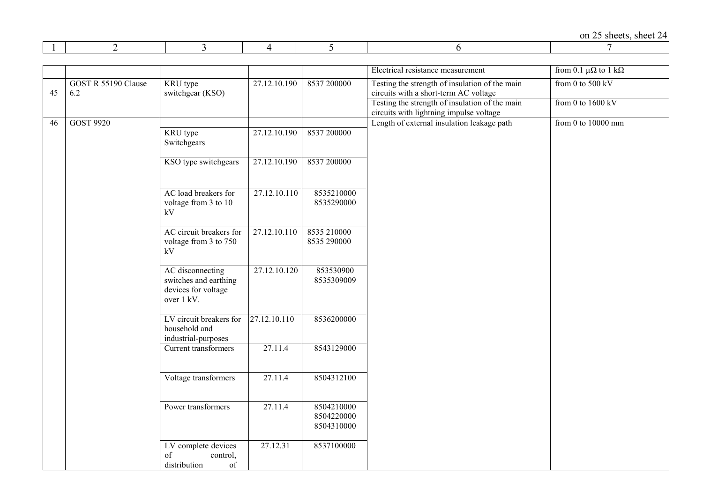|    |                            |                                                                                |              |                                        | Electrical resistance measurement                                                         | from 0.1 $\mu\Omega$ to 1 k $\Omega$ |
|----|----------------------------|--------------------------------------------------------------------------------|--------------|----------------------------------------|-------------------------------------------------------------------------------------------|--------------------------------------|
| 45 | GOST R 55190 Clause<br>6.2 | KRU type<br>switchgear (KSO)                                                   | 27.12.10.190 | 8537 200000                            | Testing the strength of insulation of the main<br>circuits with a short-term AC voltage   | from 0 to $500 \text{ kV}$           |
|    |                            |                                                                                |              |                                        | Testing the strength of insulation of the main<br>circuits with lightning impulse voltage | from 0 to $1600$ kV                  |
| 46 | <b>GOST 9920</b>           |                                                                                |              |                                        | Length of external insulation leakage path                                                | from 0 to $10000$ mm                 |
|    |                            | KRU type<br>Switchgears                                                        | 27.12.10.190 | 8537 200000                            |                                                                                           |                                      |
|    |                            | KSO type switchgears                                                           | 27.12.10.190 | 8537 200000                            |                                                                                           |                                      |
|    |                            | AC load breakers for<br>voltage from 3 to 10<br>kV                             | 27.12.10.110 | 8535210000<br>8535290000               |                                                                                           |                                      |
|    |                            | AC circuit breakers for<br>voltage from 3 to 750<br>kV                         | 27.12.10.110 | 8535 210000<br>8535 290000             |                                                                                           |                                      |
|    |                            | AC disconnecting<br>switches and earthing<br>devices for voltage<br>over 1 kV. | 27.12.10.120 | 853530900<br>8535309009                |                                                                                           |                                      |
|    |                            | LV circuit breakers for<br>household and<br>industrial-purposes                | 27.12.10.110 | 8536200000                             |                                                                                           |                                      |
|    |                            | Current transformers                                                           | 27.11.4      | 8543129000                             |                                                                                           |                                      |
|    |                            | Voltage transformers                                                           | 27.11.4      | 8504312100                             |                                                                                           |                                      |
|    |                            | Power transformers                                                             | 27.11.4      | 8504210000<br>8504220000<br>8504310000 |                                                                                           |                                      |
|    |                            | LV complete devices<br>of<br>control,<br>distribution<br>$\sigma f$            | 27.12.31     | 8537100000                             |                                                                                           |                                      |